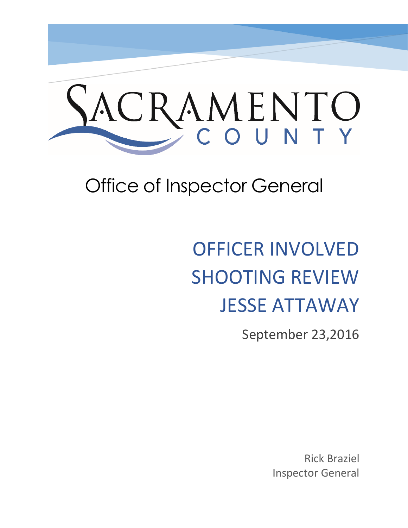# ACRAMENTO

# Office of Inspector General

# OFFICER INVOLVED SHOOTING REVIEW JESSE ATTAWAY

September 23,2016

Rick Braziel Inspector General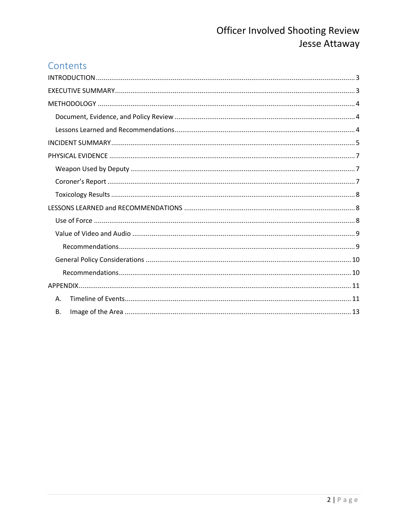#### Contents

| Α.        |
|-----------|
| <b>B.</b> |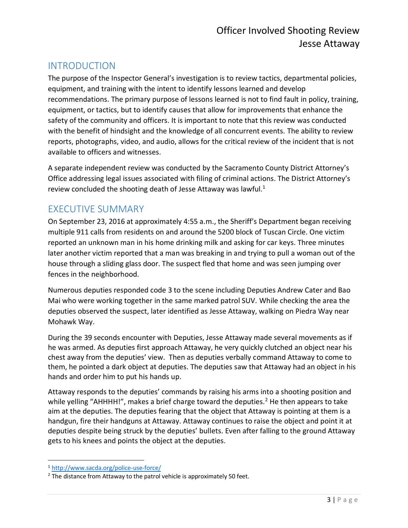### <span id="page-2-0"></span>INTRODUCTION

The purpose of the Inspector General's investigation is to review tactics, departmental policies, equipment, and training with the intent to identify lessons learned and develop recommendations. The primary purpose of lessons learned is not to find fault in policy, training, equipment, or tactics, but to identify causes that allow for improvements that enhance the safety of the community and officers. It is important to note that this review was conducted with the benefit of hindsight and the knowledge of all concurrent events. The ability to review reports, photographs, video, and audio, allows for the critical review of the incident that is not available to officers and witnesses.

A separate independent review was conducted by the Sacramento County District Attorney's Office addressing legal issues associated with filing of criminal actions. The District Attorney's review concluded the shooting death of Jesse Attaway was lawful.<sup>1</sup>

#### <span id="page-2-1"></span>EXECUTIVE SUMMARY

On September 23, 2016 at approximately 4:55 a.m., the Sheriff's Department began receiving multiple 911 calls from residents on and around the 5200 block of Tuscan Circle. One victim reported an unknown man in his home drinking milk and asking for car keys. Three minutes later another victim reported that a man was breaking in and trying to pull a woman out of the house through a sliding glass door. The suspect fled that home and was seen jumping over fences in the neighborhood.

Numerous deputies responded code 3 to the scene including Deputies Andrew Cater and Bao Mai who were working together in the same marked patrol SUV. While checking the area the deputies observed the suspect, later identified as Jesse Attaway, walking on Piedra Way near Mohawk Way.

During the 39 seconds encounter with Deputies, Jesse Attaway made several movements as if he was armed. As deputies first approach Attaway, he very quickly clutched an object near his chest away from the deputies' view. Then as deputies verbally command Attaway to come to them, he pointed a dark object at deputies. The deputies saw that Attaway had an object in his hands and order him to put his hands up.

Attaway responds to the deputies' commands by raising his arms into a shooting position and while yelling "AHHHH!", makes a brief charge toward the deputies.<sup>2</sup> He then appears to take aim at the deputies. The deputies fearing that the object that Attaway is pointing at them is a handgun, fire their handguns at Attaway. Attaway continues to raise the object and point it at deputies despite being struck by the deputies' bullets. Even after falling to the ground Attaway gets to his knees and points the object at the deputies.

<sup>1</sup> <http://www.sacda.org/police-use-force/>

 $2$  The distance from Attaway to the patrol vehicle is approximately 50 feet.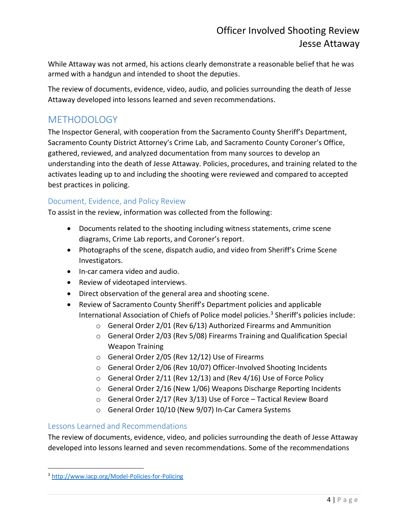While Attaway was not armed, his actions clearly demonstrate a reasonable belief that he was armed with a handgun and intended to shoot the deputies.

The review of documents, evidence, video, audio, and policies surrounding the death of Jesse Attaway developed into lessons learned and seven recommendations.

## <span id="page-3-0"></span>**METHODOLOGY**

The Inspector General, with cooperation from the Sacramento County Sheriff's Department, Sacramento County District Attorney's Crime Lab, and Sacramento County Coroner's Office, gathered, reviewed, and analyzed documentation from many sources to develop an understanding into the death of Jesse Attaway. Policies, procedures, and training related to the activates leading up to and including the shooting were reviewed and compared to accepted best practices in policing.

#### <span id="page-3-1"></span>Document, Evidence, and Policy Review

To assist in the review, information was collected from the following:

- Documents related to the shooting including witness statements, crime scene diagrams, Crime Lab reports, and Coroner's report.
- Photographs of the scene, dispatch audio, and video from Sheriff's Crime Scene Investigators.
- In-car camera video and audio.
- Review of videotaped interviews.
- Direct observation of the general area and shooting scene.
- Review of Sacramento County Sheriff's Department policies and applicable International Association of Chiefs of Police model policies.<sup>3</sup> Sheriff's policies include:
	- o General Order 2/01 (Rev 6/13) Authorized Firearms and Ammunition
	- o General Order 2/03 (Rev 5/08) Firearms Training and Qualification Special Weapon Training
	- o General Order 2/05 (Rev 12/12) Use of Firearms
	- o General Order 2/06 (Rev 10/07) Officer-Involved Shooting Incidents
	- $\circ$  General Order 2/11 (Rev 12/13) and (Rev 4/16) Use of Force Policy
	- o General Order 2/16 (New 1/06) Weapons Discharge Reporting Incidents
	- o General Order 2/17 (Rev 3/13) Use of Force Tactical Review Board
	- o General Order 10/10 (New 9/07) In-Car Camera Systems

#### <span id="page-3-2"></span>Lessons Learned and Recommendations

The review of documents, evidence, video, and policies surrounding the death of Jesse Attaway developed into lessons learned and seven recommendations. Some of the recommendations

<sup>3</sup> <http://www.iacp.org/Model-Policies-for-Policing>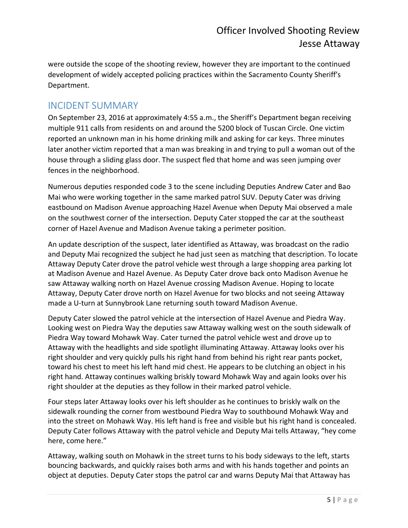were outside the scope of the shooting review, however they are important to the continued development of widely accepted policing practices within the Sacramento County Sheriff's Department.

#### <span id="page-4-0"></span>INCIDENT SUMMARY

On September 23, 2016 at approximately 4:55 a.m., the Sheriff's Department began receiving multiple 911 calls from residents on and around the 5200 block of Tuscan Circle. One victim reported an unknown man in his home drinking milk and asking for car keys. Three minutes later another victim reported that a man was breaking in and trying to pull a woman out of the house through a sliding glass door. The suspect fled that home and was seen jumping over fences in the neighborhood.

Numerous deputies responded code 3 to the scene including Deputies Andrew Cater and Bao Mai who were working together in the same marked patrol SUV. Deputy Cater was driving eastbound on Madison Avenue approaching Hazel Avenue when Deputy Mai observed a male on the southwest corner of the intersection. Deputy Cater stopped the car at the southeast corner of Hazel Avenue and Madison Avenue taking a perimeter position.

An update description of the suspect, later identified as Attaway, was broadcast on the radio and Deputy Mai recognized the subject he had just seen as matching that description. To locate Attaway Deputy Cater drove the patrol vehicle west through a large shopping area parking lot at Madison Avenue and Hazel Avenue. As Deputy Cater drove back onto Madison Avenue he saw Attaway walking north on Hazel Avenue crossing Madison Avenue. Hoping to locate Attaway, Deputy Cater drove north on Hazel Avenue for two blocks and not seeing Attaway made a U-turn at Sunnybrook Lane returning south toward Madison Avenue.

Deputy Cater slowed the patrol vehicle at the intersection of Hazel Avenue and Piedra Way. Looking west on Piedra Way the deputies saw Attaway walking west on the south sidewalk of Piedra Way toward Mohawk Way. Cater turned the patrol vehicle west and drove up to Attaway with the headlights and side spotlight illuminating Attaway. Attaway looks over his right shoulder and very quickly pulls his right hand from behind his right rear pants pocket, toward his chest to meet his left hand mid chest. He appears to be clutching an object in his right hand. Attaway continues walking briskly toward Mohawk Way and again looks over his right shoulder at the deputies as they follow in their marked patrol vehicle.

Four steps later Attaway looks over his left shoulder as he continues to briskly walk on the sidewalk rounding the corner from westbound Piedra Way to southbound Mohawk Way and into the street on Mohawk Way. His left hand is free and visible but his right hand is concealed. Deputy Cater follows Attaway with the patrol vehicle and Deputy Mai tells Attaway, "hey come here, come here."

Attaway, walking south on Mohawk in the street turns to his body sideways to the left, starts bouncing backwards, and quickly raises both arms and with his hands together and points an object at deputies. Deputy Cater stops the patrol car and warns Deputy Mai that Attaway has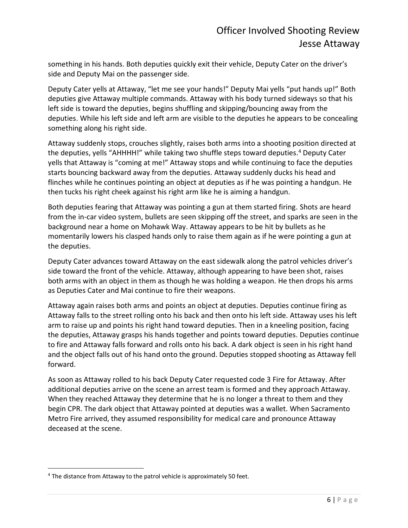something in his hands. Both deputies quickly exit their vehicle, Deputy Cater on the driver's side and Deputy Mai on the passenger side.

Deputy Cater yells at Attaway, "let me see your hands!" Deputy Mai yells "put hands up!" Both deputies give Attaway multiple commands. Attaway with his body turned sideways so that his left side is toward the deputies, begins shuffling and skipping/bouncing away from the deputies. While his left side and left arm are visible to the deputies he appears to be concealing something along his right side.

Attaway suddenly stops, crouches slightly, raises both arms into a shooting position directed at the deputies, yells "AHHHH!" while taking two shuffle steps toward deputies. <sup>4</sup> Deputy Cater yells that Attaway is "coming at me!" Attaway stops and while continuing to face the deputies starts bouncing backward away from the deputies. Attaway suddenly ducks his head and flinches while he continues pointing an object at deputies as if he was pointing a handgun. He then tucks his right cheek against his right arm like he is aiming a handgun.

Both deputies fearing that Attaway was pointing a gun at them started firing. Shots are heard from the in-car video system, bullets are seen skipping off the street, and sparks are seen in the background near a home on Mohawk Way. Attaway appears to be hit by bullets as he momentarily lowers his clasped hands only to raise them again as if he were pointing a gun at the deputies.

Deputy Cater advances toward Attaway on the east sidewalk along the patrol vehicles driver's side toward the front of the vehicle. Attaway, although appearing to have been shot, raises both arms with an object in them as though he was holding a weapon. He then drops his arms as Deputies Cater and Mai continue to fire their weapons.

Attaway again raises both arms and points an object at deputies. Deputies continue firing as Attaway falls to the street rolling onto his back and then onto his left side. Attaway uses his left arm to raise up and points his right hand toward deputies. Then in a kneeling position, facing the deputies, Attaway grasps his hands together and points toward deputies. Deputies continue to fire and Attaway falls forward and rolls onto his back. A dark object is seen in his right hand and the object falls out of his hand onto the ground. Deputies stopped shooting as Attaway fell forward.

As soon as Attaway rolled to his back Deputy Cater requested code 3 Fire for Attaway. After additional deputies arrive on the scene an arrest team is formed and they approach Attaway. When they reached Attaway they determine that he is no longer a threat to them and they begin CPR. The dark object that Attaway pointed at deputies was a wallet. When Sacramento Metro Fire arrived, they assumed responsibility for medical care and pronounce Attaway deceased at the scene.

<sup>&</sup>lt;sup>4</sup> The distance from Attaway to the patrol vehicle is approximately 50 feet.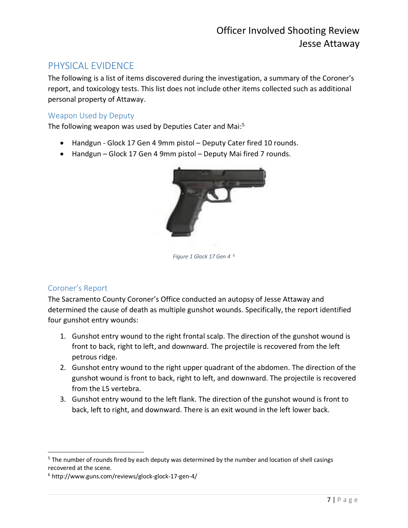### <span id="page-6-0"></span>PHYSICAL EVIDENCE

The following is a list of items discovered during the investigation, a summary of the Coroner's report, and toxicology tests. This list does not include other items collected such as additional personal property of Attaway.

#### <span id="page-6-1"></span>Weapon Used by Deputy

The following weapon was used by Deputies Cater and Mai:<sup>5</sup>

- Handgun Glock 17 Gen 4 9mm pistol Deputy Cater fired 10 rounds.
- Handgun Glock 17 Gen 4 9mm pistol Deputy Mai fired 7 rounds.



*Figure 1 Glock 17 Gen 4 <sup>6</sup>*

#### <span id="page-6-2"></span>Coroner's Report

 $\overline{a}$ 

The Sacramento County Coroner's Office conducted an autopsy of Jesse Attaway and determined the cause of death as multiple gunshot wounds. Specifically, the report identified four gunshot entry wounds:

- 1. Gunshot entry wound to the right frontal scalp. The direction of the gunshot wound is front to back, right to left, and downward. The projectile is recovered from the left petrous ridge.
- 2. Gunshot entry wound to the right upper quadrant of the abdomen. The direction of the gunshot wound is front to back, right to left, and downward. The projectile is recovered from the L5 vertebra.
- 3. Gunshot entry wound to the left flank. The direction of the gunshot wound is front to back, left to right, and downward. There is an exit wound in the left lower back.

<sup>&</sup>lt;sup>5</sup> The number of rounds fired by each deputy was determined by the number and location of shell casings recovered at the scene.

<sup>6</sup> http://www.guns.com/reviews/glock-glock-17-gen-4/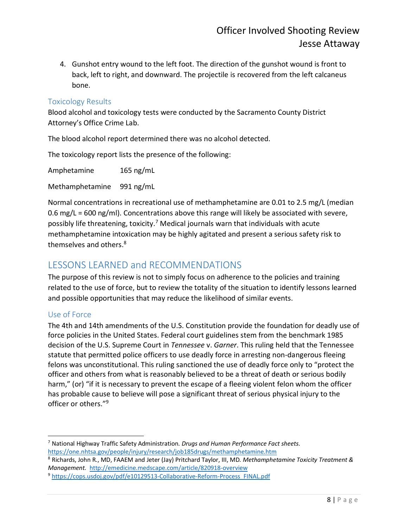4. Gunshot entry wound to the left foot. The direction of the gunshot wound is front to back, left to right, and downward. The projectile is recovered from the left calcaneus bone.

#### <span id="page-7-0"></span>Toxicology Results

Blood alcohol and toxicology tests were conducted by the Sacramento County District Attorney's Office Crime Lab.

The blood alcohol report determined there was no alcohol detected.

The toxicology report lists the presence of the following:

Amphetamine 165 ng/mL

Methamphetamine 991 ng/mL

Normal concentrations in recreational use of methamphetamine are 0.01 to 2.5 mg/L (median 0.6 mg/L = 600 ng/ml). Concentrations above this range will likely be associated with severe, possibly life threatening, toxicity.<sup>7</sup> Medical journals warn that individuals with acute methamphetamine intoxication may be highly agitated and present a serious safety risk to themselves and others. 8

#### <span id="page-7-1"></span>LESSONS LEARNED and RECOMMENDATIONS

The purpose of this review is not to simply focus on adherence to the policies and training related to the use of force, but to review the totality of the situation to identify lessons learned and possible opportunities that may reduce the likelihood of similar events.

#### <span id="page-7-2"></span>Use of Force

 $\overline{\phantom{a}}$ 

The 4th and 14th amendments of the U.S. Constitution provide the foundation for deadly use of force policies in the United States. Federal court guidelines stem from the benchmark 1985 decision of the U.S. Supreme Court in *Tennessee* v. *Garner*. This ruling held that the Tennessee statute that permitted police officers to use deadly force in arresting non-dangerous fleeing felons was unconstitutional. This ruling sanctioned the use of deadly force only to "protect the officer and others from what is reasonably believed to be a threat of death or serious bodily harm," (or) "if it is necessary to prevent the escape of a fleeing violent felon whom the officer has probable cause to believe will pose a significant threat of serious physical injury to the officer or others."<sup>9</sup>

<sup>7</sup> National Highway Traffic Safety Administration. *Drugs and Human Performance Fact sheets*. <https://one.nhtsa.gov/people/injury/research/job185drugs/methamphetamine.htm>

<sup>8</sup> Richards, John R., MD, FAAEM and Jeter (Jay) Pritchard Taylor, III, MD*. Methamphetamine Toxicity Treatment & Management.* <http://emedicine.medscape.com/article/820918-overview>

<sup>9</sup> [https://cops.usdoj.gov/pdf/e10129513-Collaborative-Reform-Process\\_FINAL.pdf](https://cops.usdoj.gov/pdf/e10129513-Collaborative-Reform-Process_FINAL.pdf)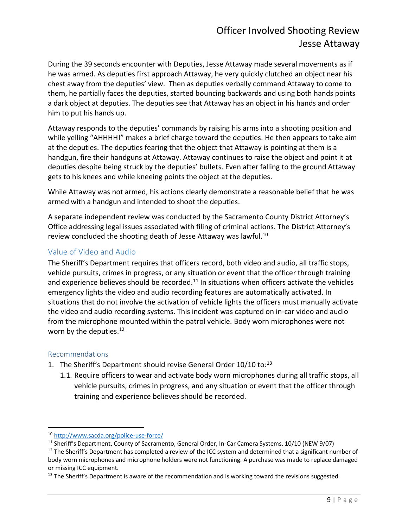During the 39 seconds encounter with Deputies, Jesse Attaway made several movements as if he was armed. As deputies first approach Attaway, he very quickly clutched an object near his chest away from the deputies' view. Then as deputies verbally command Attaway to come to them, he partially faces the deputies, started bouncing backwards and using both hands points a dark object at deputies. The deputies see that Attaway has an object in his hands and order him to put his hands up.

Attaway responds to the deputies' commands by raising his arms into a shooting position and while yelling "AHHHH!" makes a brief charge toward the deputies. He then appears to take aim at the deputies. The deputies fearing that the object that Attaway is pointing at them is a handgun, fire their handguns at Attaway. Attaway continues to raise the object and point it at deputies despite being struck by the deputies' bullets. Even after falling to the ground Attaway gets to his knees and while kneeing points the object at the deputies.

While Attaway was not armed, his actions clearly demonstrate a reasonable belief that he was armed with a handgun and intended to shoot the deputies.

A separate independent review was conducted by the Sacramento County District Attorney's Office addressing legal issues associated with filing of criminal actions. The District Attorney's review concluded the shooting death of Jesse Attaway was lawful.<sup>10</sup>

#### <span id="page-8-0"></span>Value of Video and Audio

The Sheriff's Department requires that officers record, both video and audio, all traffic stops, vehicle pursuits, crimes in progress, or any situation or event that the officer through training and experience believes should be recorded. $11$  In situations when officers activate the vehicles emergency lights the video and audio recording features are automatically activated. In situations that do not involve the activation of vehicle lights the officers must manually activate the video and audio recording systems. This incident was captured on in-car video and audio from the microphone mounted within the patrol vehicle. Body worn microphones were not worn by the deputies.<sup>12</sup>

#### <span id="page-8-1"></span>Recommendations

 $\overline{a}$ 

- 1. The Sheriff's Department should revise General Order 10/10 to:<sup>13</sup>
	- 1.1. Require officers to wear and activate body worn microphones during all traffic stops, all vehicle pursuits, crimes in progress, and any situation or event that the officer through training and experience believes should be recorded.

<sup>10</sup> <http://www.sacda.org/police-use-force/>

<sup>&</sup>lt;sup>11</sup> Sheriff's Department, County of Sacramento, General Order, In-Car Camera Systems, 10/10 (NEW 9/07)

 $12$  The Sheriff's Department has completed a review of the ICC system and determined that a significant number of body worn microphones and microphone holders were not functioning. A purchase was made to replace damaged or missing ICC equipment.

<sup>&</sup>lt;sup>13</sup> The Sheriff's Department is aware of the recommendation and is working toward the revisions suggested.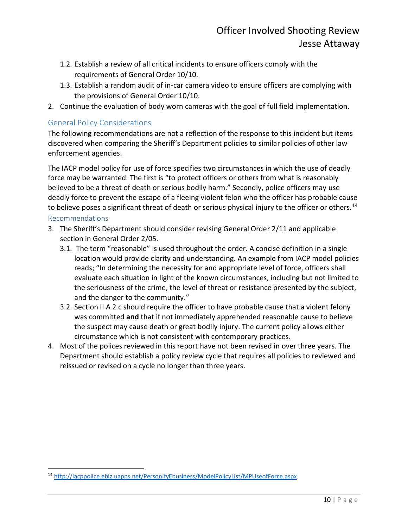- 1.2. Establish a review of all critical incidents to ensure officers comply with the requirements of General Order 10/10.
- 1.3. Establish a random audit of in-car camera video to ensure officers are complying with the provisions of General Order 10/10.
- 2. Continue the evaluation of body worn cameras with the goal of full field implementation.

#### <span id="page-9-0"></span>General Policy Considerations

 $\overline{\phantom{a}}$ 

The following recommendations are not a reflection of the response to this incident but items discovered when comparing the Sheriff's Department policies to similar policies of other law enforcement agencies.

The IACP model policy for use of force specifies two circumstances in which the use of deadly force may be warranted. The first is "to protect officers or others from what is reasonably believed to be a threat of death or serious bodily harm." Secondly, police officers may use deadly force to prevent the escape of a fleeing violent felon who the officer has probable cause to believe poses a significant threat of death or serious physical injury to the officer or others.<sup>14</sup> Recommendations

- <span id="page-9-1"></span>3. The Sheriff's Department should consider revising General Order 2/11 and applicable section in General Order 2/05.
	- 3.1. The term "reasonable" is used throughout the order. A concise definition in a single location would provide clarity and understanding. An example from IACP model policies reads; "In determining the necessity for and appropriate level of force, officers shall evaluate each situation in light of the known circumstances, including but not limited to the seriousness of the crime, the level of threat or resistance presented by the subject, and the danger to the community."
	- 3.2. Section II A 2 c should require the officer to have probable cause that a violent felony was committed **and** that if not immediately apprehended reasonable cause to believe the suspect may cause death or great bodily injury. The current policy allows either circumstance which is not consistent with contemporary practices.
- 4. Most of the polices reviewed in this report have not been revised in over three years. The Department should establish a policy review cycle that requires all policies to reviewed and reissued or revised on a cycle no longer than three years.

<sup>14</sup> <http://iacppolice.ebiz.uapps.net/PersonifyEbusiness/ModelPolicyList/MPUseofForce.aspx>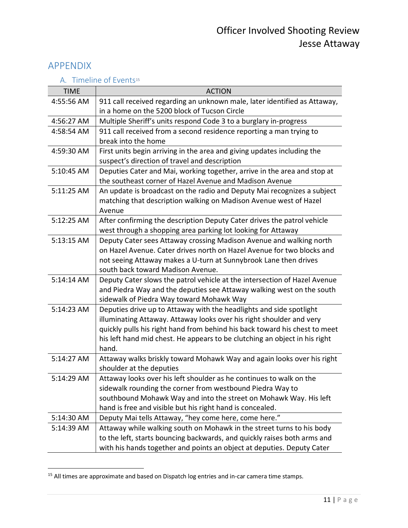#### <span id="page-10-0"></span>APPENDIX

|  |  | A. Timeline of Events <sup>15</sup> |  |
|--|--|-------------------------------------|--|
|  |  |                                     |  |

<span id="page-10-1"></span>

| <b>TIME</b> | <b>ACTION</b>                                                                                                                                                                                                                                                                                                    |
|-------------|------------------------------------------------------------------------------------------------------------------------------------------------------------------------------------------------------------------------------------------------------------------------------------------------------------------|
| 4:55:56 AM  | 911 call received regarding an unknown male, later identified as Attaway,<br>in a home on the 5200 block of Tucson Circle                                                                                                                                                                                        |
| 4:56:27 AM  | Multiple Sheriff's units respond Code 3 to a burglary in-progress                                                                                                                                                                                                                                                |
| 4:58:54 AM  | 911 call received from a second residence reporting a man trying to<br>break into the home                                                                                                                                                                                                                       |
| 4:59:30 AM  | First units begin arriving in the area and giving updates including the<br>suspect's direction of travel and description                                                                                                                                                                                         |
| 5:10:45 AM  | Deputies Cater and Mai, working together, arrive in the area and stop at<br>the southeast corner of Hazel Avenue and Madison Avenue                                                                                                                                                                              |
| 5:11:25 AM  | An update is broadcast on the radio and Deputy Mai recognizes a subject<br>matching that description walking on Madison Avenue west of Hazel<br>Avenue                                                                                                                                                           |
| 5:12:25 AM  | After confirming the description Deputy Cater drives the patrol vehicle<br>west through a shopping area parking lot looking for Attaway                                                                                                                                                                          |
| 5:13:15 AM  | Deputy Cater sees Attaway crossing Madison Avenue and walking north<br>on Hazel Avenue. Cater drives north on Hazel Avenue for two blocks and<br>not seeing Attaway makes a U-turn at Sunnybrook Lane then drives<br>south back toward Madison Avenue.                                                           |
| 5:14:14 AM  | Deputy Cater slows the patrol vehicle at the intersection of Hazel Avenue<br>and Piedra Way and the deputies see Attaway walking west on the south<br>sidewalk of Piedra Way toward Mohawk Way                                                                                                                   |
| 5:14:23 AM  | Deputies drive up to Attaway with the headlights and side spotlight<br>illuminating Attaway. Attaway looks over his right shoulder and very<br>quickly pulls his right hand from behind his back toward his chest to meet<br>his left hand mid chest. He appears to be clutching an object in his right<br>hand. |
| 5:14:27 AM  | Attaway walks briskly toward Mohawk Way and again looks over his right<br>shoulder at the deputies                                                                                                                                                                                                               |
| 5:14:29 AM  | Attaway looks over his left shoulder as he continues to walk on the<br>sidewalk rounding the corner from westbound Piedra Way to<br>southbound Mohawk Way and into the street on Mohawk Way. His left<br>hand is free and visible but his right hand is concealed.                                               |
| 5:14:30 AM  | Deputy Mai tells Attaway, "hey come here, come here."                                                                                                                                                                                                                                                            |
| 5:14:39 AM  | Attaway while walking south on Mohawk in the street turns to his body<br>to the left, starts bouncing backwards, and quickly raises both arms and<br>with his hands together and points an object at deputies. Deputy Cater                                                                                      |

 $<sup>15</sup>$  All times are approximate and based on Dispatch log entries and in-car camera time stamps.</sup>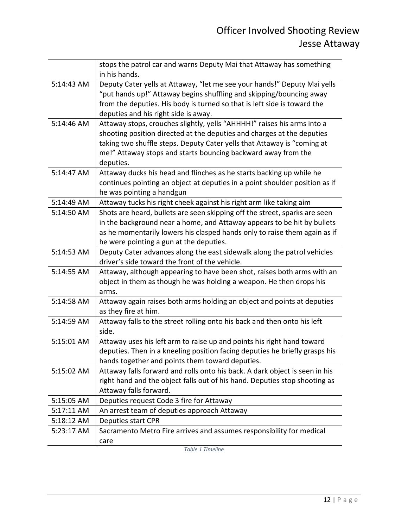|            | stops the patrol car and warns Deputy Mai that Attaway has something<br>in his hands.                                                                                                                                                                                                                      |
|------------|------------------------------------------------------------------------------------------------------------------------------------------------------------------------------------------------------------------------------------------------------------------------------------------------------------|
| 5:14:43 AM | Deputy Cater yells at Attaway, "let me see your hands!" Deputy Mai yells<br>"put hands up!" Attaway begins shuffling and skipping/bouncing away<br>from the deputies. His body is turned so that is left side is toward the<br>deputies and his right side is away.                                        |
| 5:14:46 AM | Attaway stops, crouches slightly, yells "AHHHH!" raises his arms into a<br>shooting position directed at the deputies and charges at the deputies<br>taking two shuffle steps. Deputy Cater yells that Attaway is "coming at<br>me!" Attaway stops and starts bouncing backward away from the<br>deputies. |
| 5:14:47 AM | Attaway ducks his head and flinches as he starts backing up while he<br>continues pointing an object at deputies in a point shoulder position as if<br>he was pointing a handgun                                                                                                                           |
| 5:14:49 AM | Attaway tucks his right cheek against his right arm like taking aim                                                                                                                                                                                                                                        |
| 5:14:50 AM | Shots are heard, bullets are seen skipping off the street, sparks are seen<br>in the background near a home, and Attaway appears to be hit by bullets<br>as he momentarily lowers his clasped hands only to raise them again as if<br>he were pointing a gun at the deputies.                              |
| 5:14:53 AM | Deputy Cater advances along the east sidewalk along the patrol vehicles<br>driver's side toward the front of the vehicle.                                                                                                                                                                                  |
| 5:14:55 AM | Attaway, although appearing to have been shot, raises both arms with an<br>object in them as though he was holding a weapon. He then drops his<br>arms.                                                                                                                                                    |
| 5:14:58 AM | Attaway again raises both arms holding an object and points at deputies<br>as they fire at him.                                                                                                                                                                                                            |
| 5:14:59 AM | Attaway falls to the street rolling onto his back and then onto his left<br>side.                                                                                                                                                                                                                          |
| 5:15:01 AM | Attaway uses his left arm to raise up and points his right hand toward<br>deputies. Then in a kneeling position facing deputies he briefly grasps his<br>hands together and points them toward deputies.                                                                                                   |
| 5:15:02 AM | Attaway falls forward and rolls onto his back. A dark object is seen in his<br>right hand and the object falls out of his hand. Deputies stop shooting as<br>Attaway falls forward.                                                                                                                        |
| 5:15:05 AM | Deputies request Code 3 fire for Attaway                                                                                                                                                                                                                                                                   |
| 5:17:11 AM | An arrest team of deputies approach Attaway                                                                                                                                                                                                                                                                |
| 5:18:12 AM | Deputies start CPR                                                                                                                                                                                                                                                                                         |
| 5:23:17 AM | Sacramento Metro Fire arrives and assumes responsibility for medical<br>care                                                                                                                                                                                                                               |

*Table 1 Timeline*